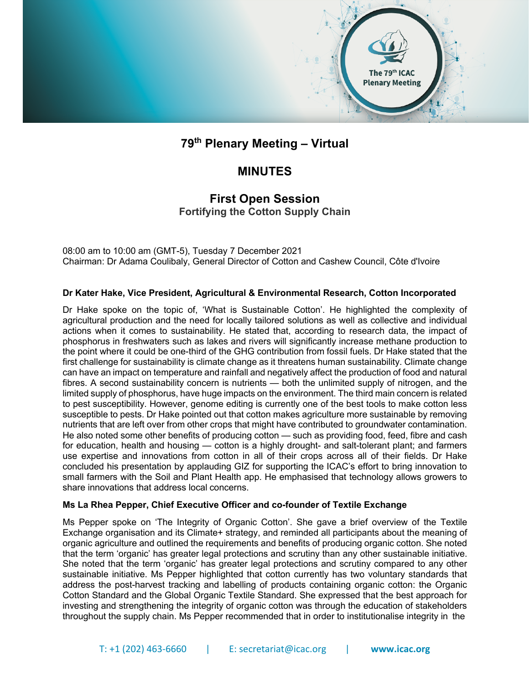

# **79th Plenary Meeting – Virtual**

## **MINUTES**

### **First Open Session Fortifying the Cotton Supply Chain**

08:00 am to 10:00 am (GMT-5), Tuesday 7 December 2021 Chairman: Dr Adama Coulibaly, General Director of Cotton and Cashew Council, Côte d'Ivoire

#### **Dr Kater Hake, Vice President, Agricultural & Environmental Research, Cotton Incorporated**

Dr Hake spoke on the topic of, 'What is Sustainable Cotton'. He highlighted the complexity of agricultural production and the need for locally tailored solutions as well as collective and individual actions when it comes to sustainability. He stated that, according to research data, the impact of phosphorus in freshwaters such as lakes and rivers will significantly increase methane production to the point where it could be one-third of the GHG contribution from fossil fuels. Dr Hake stated that the first challenge for sustainability is climate change as it threatens human sustainability. Climate change can have an impact on temperature and rainfall and negatively affect the production of food and natural fibres. A second sustainability concern is nutrients — both the unlimited supply of nitrogen, and the limited supply of phosphorus, have huge impacts on the environment. The third main concern is related to pest susceptibility. However, genome editing is currently one of the best tools to make cotton less susceptible to pests. Dr Hake pointed out that cotton makes agriculture more sustainable by removing nutrients that are left over from other crops that might have contributed to groundwater contamination. He also noted some other benefits of producing cotton — such as providing food, feed, fibre and cash for education, health and housing — cotton is a highly drought- and salt-tolerant plant; and farmers use expertise and innovations from cotton in all of their crops across all of their fields. Dr Hake concluded his presentation by applauding GIZ for supporting the ICAC's effort to bring innovation to small farmers with the Soil and Plant Health app. He emphasised that technology allows growers to share innovations that address local concerns.

#### **Ms La Rhea Pepper, Chief Executive Officer and co-founder of Textile Exchange**

Ms Pepper spoke on 'The Integrity of Organic Cotton'. She gave a brief overview of the Textile Exchange organisation and its Climate+ strategy, and reminded all participants about the meaning of organic agriculture and outlined the requirements and benefits of producing organic cotton. She noted that the term 'organic' has greater legal protections and scrutiny than any other sustainable initiative. She noted that the term 'organic' has greater legal protections and scrutiny compared to any other sustainable initiative. Ms Pepper highlighted that cotton currently has two voluntary standards that address the post-harvest tracking and labelling of products containing organic cotton: the Organic Cotton Standard and the Global Organic Textile Standard. She expressed that the best approach for investing and strengthening the integrity of organic cotton was through the education of stakeholders throughout the supply chain. Ms Pepper recommended that in order to institutionalise integrity in the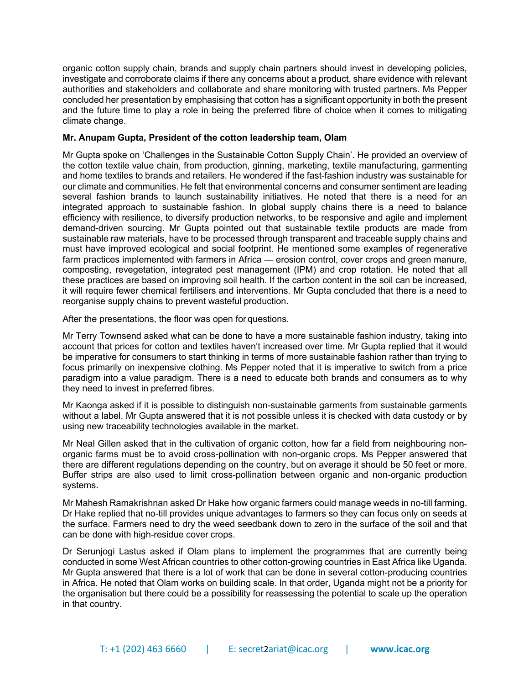organic cotton supply chain, brands and supply chain partners should invest in developing policies, investigate and corroborate claims if there any concerns about a product, share evidence with relevant authorities and stakeholders and collaborate and share monitoring with trusted partners. Ms Pepper concluded her presentation by emphasising that cotton has a significant opportunity in both the present and the future time to play a role in being the preferred fibre of choice when it comes to mitigating climate change.

#### **Mr. Anupam Gupta, President of the cotton leadership team, Olam**

Mr Gupta spoke on 'Challenges in the Sustainable Cotton Supply Chain'. He provided an overview of the cotton textile value chain, from production, ginning, marketing, textile manufacturing, garmenting and home textiles to brands and retailers. He wondered if the fast-fashion industry was sustainable for our climate and communities. He felt that environmental concerns and consumer sentiment are leading several fashion brands to launch sustainability initiatives. He noted that there is a need for an integrated approach to sustainable fashion. In global supply chains there is a need to balance efficiency with resilience, to diversify production networks, to be responsive and agile and implement demand-driven sourcing. Mr Gupta pointed out that sustainable textile products are made from sustainable raw materials, have to be processed through transparent and traceable supply chains and must have improved ecological and social footprint. He mentioned some examples of regenerative farm practices implemented with farmers in Africa — erosion control, cover crops and green manure, composting, revegetation, integrated pest management (IPM) and crop rotation. He noted that all these practices are based on improving soil health. If the carbon content in the soil can be increased, it will require fewer chemical fertilisers and interventions. Mr Gupta concluded that there is a need to reorganise supply chains to prevent wasteful production.

After the presentations, the floor was open for questions.

Mr Terry Townsend asked what can be done to have a more sustainable fashion industry, taking into account that prices for cotton and textiles haven't increased over time. Mr Gupta replied that it would be imperative for consumers to start thinking in terms of more sustainable fashion rather than trying to focus primarily on inexpensive clothing. Ms Pepper noted that it is imperative to switch from a price paradigm into a value paradigm. There is a need to educate both brands and consumers as to why they need to invest in preferred fibres.

Mr Kaonga asked if it is possible to distinguish non-sustainable garments from sustainable garments without a label. Mr Gupta answered that it is not possible unless it is checked with data custody or by using new traceability technologies available in the market.

Mr Neal Gillen asked that in the cultivation of organic cotton, how far a field from neighbouring nonorganic farms must be to avoid cross-pollination with non-organic crops. Ms Pepper answered that there are different regulations depending on the country, but on average it should be 50 feet or more. Buffer strips are also used to limit cross-pollination between organic and non-organic production systems.

Mr Mahesh Ramakrishnan asked Dr Hake how organic farmers could manage weeds in no-till farming. Dr Hake replied that no-till provides unique advantages to farmers so they can focus only on seeds at the surface. Farmers need to dry the weed seedbank down to zero in the surface of the soil and that can be done with high-residue cover crops.

Dr Serunjogi Lastus asked if Olam plans to implement the programmes that are currently being conducted in some West African countries to other cotton-growing countries in East Africa like Uganda. Mr Gupta answered that there is a lot of work that can be done in several cotton-producing countries in Africa. He noted that Olam works on building scale. In that order, Uganda might not be a priority for the organisation but there could be a possibility for reassessing the potential to scale up the operation in that country.